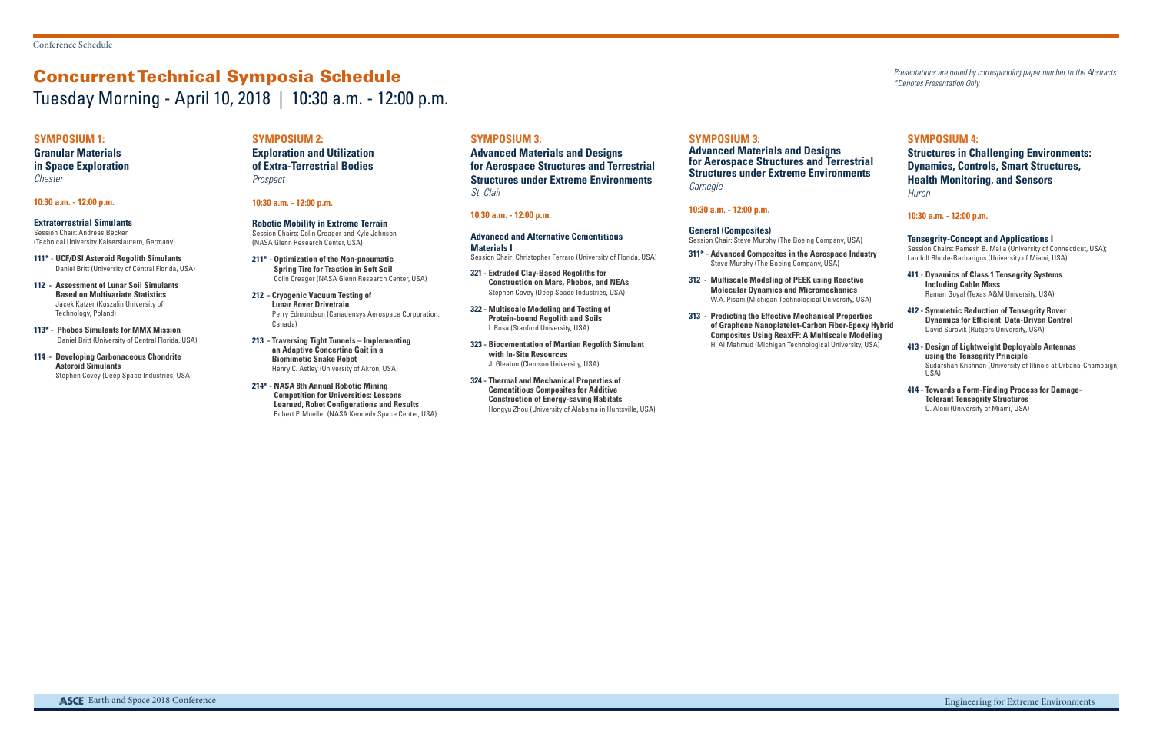**Granular Materials in Space Exploration Chester** 

#### **SYMPOSIUM 1:**

#### **10:30 a.m. - 12:00 p.m.**

**Extraterrestrial Simulants** Session Chair: Andreas Becker (Technical University Kaiserslautern, Germany)

- **111\* UCF/DSI Asteroid Regolith Simulants** Daniel Britt (University of Central Florida, USA)
- **112 Assessment of Lunar Soil Simulants Based on Multivariate Statistics**  Jacek Katzer (Koszalin University of Technology, Poland)
- **113\* Phobos Simulants for MMX Mission** Daniel Britt (University of Central Florida, USA)
- **114 Developing Carbonaceous Chondrite Asteroid Simulants**  Stephen Covey (Deep Space Industries, USA)

#### **SYMPOSIUM 2:**

**Exploration and Utilization of Extra-Terrestrial Bodies** Prospect

#### **10:30 a.m. - 12:00 p.m.**

**Robotic Mobility in Extreme Terrain** Session Chairs: Colin Creager and Kyle Johnson (NASA Glenn Research Center, USA)

- **211\* Optimization of the Non-pneumatic Spring Tire for Traction in Soft Soil**  Colin Creager (NASA Glenn Research Center, USA)
- **212 Cryogenic Vacuum Testing of Lunar Rover Drivetrain**  Perry Edmundson (Canadensys Aerospace Corporation, Canada)

**Advanced Materials and Designs for Aerospace Structures and Terrestrial Structures under Extreme Environments Carnegie** 

**213 - Traversing Tight Tunnels – Implementing an Adaptive Concertina Gait in a Biomimetic Snake Robot**  Henry C. Astley (University of Akron, USA)

**214\* - NASA 8th Annual Robotic Mining Competition for Universities: Lessons Learned, Robot Configurations and Results**  Robert P. Mueller (NASA Kennedy Space Center, USA)

#### **SYMPOSIUM 3:**

**Advanced Materials and Designs for Aerospace Structures and Terrestrial Structures under Extreme Environments** St. Clair

#### **10:30 a.m. - 12:00 p.m.**

**Advanced and Alternative Cementitious Materials I** Session Chair: Christopher Ferraro (University of Florida, USA)

- **321 Extruded Clay-Based Regoliths for Construction on Mars, Phobos, and NEAs**  Stephen Covey (Deep Space Industries, USA)
- **322 Multiscale Modeling and Testing of Protein-bound Regolith and Soils**  I. Rosa (Stanford University, USA)
- **323 Biocementation of Martian Regolith Simulant with In-Situ Resources**  J. Gleaton (Clemson University, USA)
- **324 Thermal and Mechanical Properties of Cementitious Composites for Additive Construction of Energy-saving Habitats**  Hongyu Zhou (University of Alabama in Huntsville, USA)

#### **SYMPOSIUM 3:**

#### **10:30 a.m. - 12:00 p.m.**

#### **General (Composites)**

Session Chair: Steve Murphy (The Boeing Company, USA)

- **311\* Advanced Composites in the Aerospace Industry**  Steve Murphy (The Boeing Company, USA)
- **312 Multiscale Modeling of PEEK using Reactive Molecular Dynamics and Micromechanics**  W.A. Pisani (Michigan Technological University, USA)
- **313 Predicting the Effective Mechanical Properties of Graphene Nanoplatelet-Carbon Fiber-Epoxy Hybrid Composites Using ReaxFF: A Multiscale Modeling**  H. Al Mahmud (Michigan Technological University, USA)

#### **SYMPOSIUM 4:**

### **Structures in Challenging Environments: Dynamics, Controls, Smart Structures, Health Monitoring, and Sensors**

**Huron** 

#### **10:30 a.m. - 12:00 p.m.**

- **Tensegrity-Concept and Applications I** Session Chairs: Ramesh B. Malla (University of Connecticut, USA); Landolf Rhode-Barbarigos (University of Miami, USA)
- **411 Dynamics of Class 1 Tensegrity Systems Including Cable Mass**  Raman Goyal (Texas A&M University, USA)
- **412 Symmetric Reduction of Tensegrity Rover Dynamics for Efficient Data-Driven Control**  David Surovik (Rutgers University, USA)
- **413 Design of Lightweight Deployable Antennas using the Tensegrity Principle**  Sudarshan Krishnan (University of Illinois at Urbana-Champaign,  $U(2)$
- **414 Towards a Form-Finding Process for Damage-Tolerant Tensegrity Structures**  O. Aloui (University of Miami, USA)

# Concurrent Technical Symposia Schedule Tuesday Morning - April 10, 2018 | 10:30 a.m. - 12:00 p.m.

Presentations are noted by corresponding paper number to the Abstracts \*Denotes Presentation Only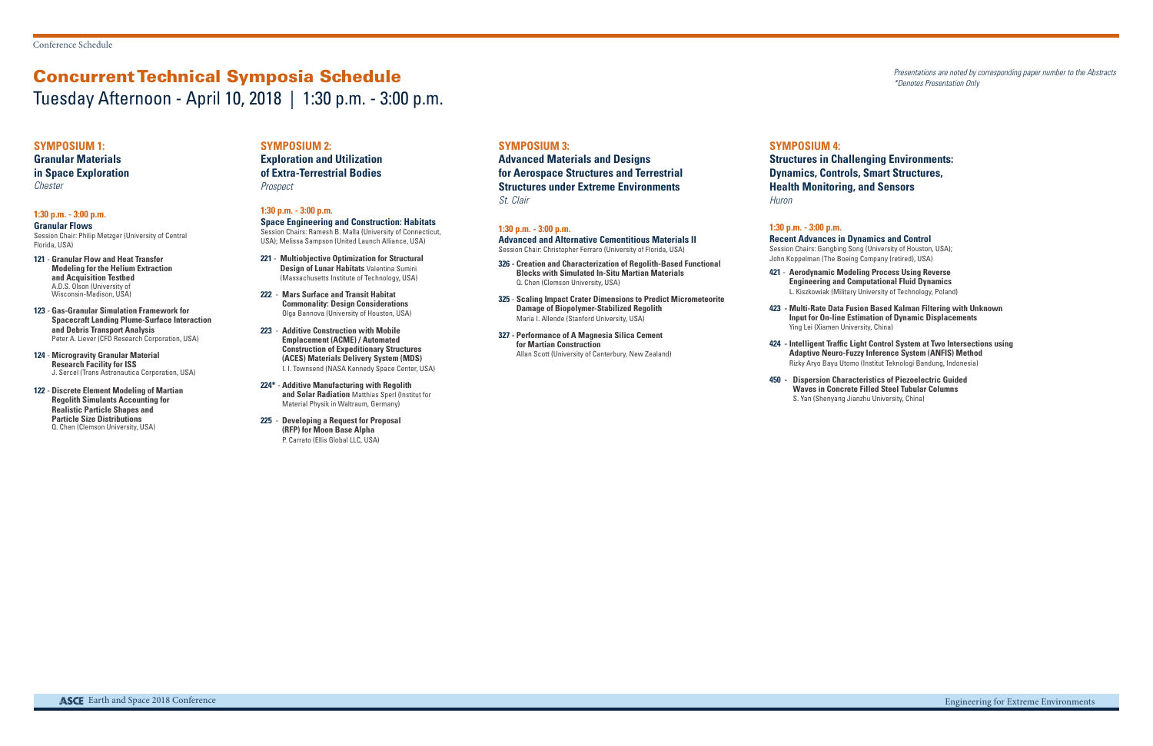# Concurrent Technical Symposia Schedule

Tuesday Afternoon - April 10, 2018 | 1:30 p.m. - 3:00 p.m.

Presentations are noted by corresponding paper number to the Abstracts \*Denotes Presentation Only

**Exploration and Utilization of Extra-Terrestrial Bodies Prospect** 

#### **SYMPOSIUM 2:**

#### **1:30 p.m. - 3:00 p.m.**

**Space Engineering and Construction: Habitats** Session Chairs: Ramesh B. Malla (University of Connecticut, USA); Melissa Sampson (United Launch Alliance, USA)

- **221 Multiobjective Optimization for Structural Design of Lunar Habitats** Valentina Sumini (Massachusetts Institute of Technology, USA)
- **222 Mars Surface and Transit Habitat Commonality: Design Considerations**  Olga Bannova (University of Houston, USA)
- **223 Additive Construction with Mobile Emplacement (ACME) / Automated Construction of Expeditionary Structures (ACES) Materials Delivery System (MDS)**  I. I. Townsend (NASA Kennedy Space Center, USA)
- **224\* Additive Manufacturing with Regolith and Solar Radiation** Matthias Sperl (Institut for Material Physik in Waltraum, Germany)
- **225 Developing a Request for Proposal (RFP) for Moon Base Alpha**  P. Carrato (Ellis Global LLC, USA)

#### **SYMPOSIUM 1:**

**Granular Materials in Space Exploration** Chester

#### **1:30 p.m. - 3:00 p.m.**

**Granular Flows**  Session Chair: Philip Metzger (University of Central Florida, USA)

- **121 Granular Flow and Heat Transfer Modeling for the Helium Extraction and Acquisition Testbed**  A.D.S. Olson (University of Wisconsin-Madison, USA)
- **123 Gas-Granular Simulation Framework for Spacecraft Landing Plume-Surface Interaction and Debris Transport Analysis**  Peter A. Liever (CFD Research Corporation, USA)
- **124 Microgravity Granular Material Research Facility for ISS**  J. Sercel (Trans Astronautica Corporation, USA)
- **122 Discrete Element Modeling of Martian Regolith Simulants Accounting for Realistic Particle Shapes and Particle Size Distributions**  Q. Chen (Clemson University, USA)

#### **SYMPOSIUM 3:**

**Advanced Materials and Designs for Aerospace Structures and Terrestrial Structures under Extreme Environments** St. Clair

#### **1:30 p.m. - 3:00 p.m.**

**Advanced and Alternative Cementitious Materials II** Session Chair: Christopher Ferraro (University of Florida, USA)

- **326 Creation and Characterization of Regolith-Based Functional Blocks with Simulated In-Situ Martian Materials**  Q. Chen (Clemson University, USA)
- **325 Scaling Impact Crater Dimensions to Predict Micrometeorite Damage of Biopolymer-Stabilized Regolith**  Maria I. Allende (Stanford University, USA)
- **327 Performance of A Magnesia Silica Cement for Martian Construction**  Allan Scott (University of Canterbury, New Zealand)

#### **SYMPOSIUM 4:**

**Structures in Challenging Environments: Dynamics, Controls, Smart Structures,** 

**Health Monitoring, and Sensors** Huron

# **1:30 p.m. - 3:00 p.m.**

**Recent Advances in Dynamics and Control** Session Chairs: Gangbing Song (University of Houston, USA);

John Koppelman (The Boeing Company (retired), USA) **421** - **Aerodynamic Modeling Process Using Reverse Engineering and Computational Fluid Dynamics**  L. Kiszkowiak (Military University of Technology, Poland)

- 
- 
- 

**423 - Multi-Rate Data Fusion Based Kalman Filtering with Unknown Input for On-line Estimation of Dynamic Displacements** Ying Lei (Xiamen University, China)

**424 - Intelligent Traffic Light Control System at Two Intersections using Adaptive Neuro-Fuzzy Inference System (ANFIS) Method**  Rizky Aryo Bayu Utomo (Institut Teknologi Bandung, Indonesia)

**450 - Dispersion Characteristics of Piezoelectric Guided Waves in Concrete Filled Steel Tubular Columns**  S. Yan (Shenyang Jianzhu University, China)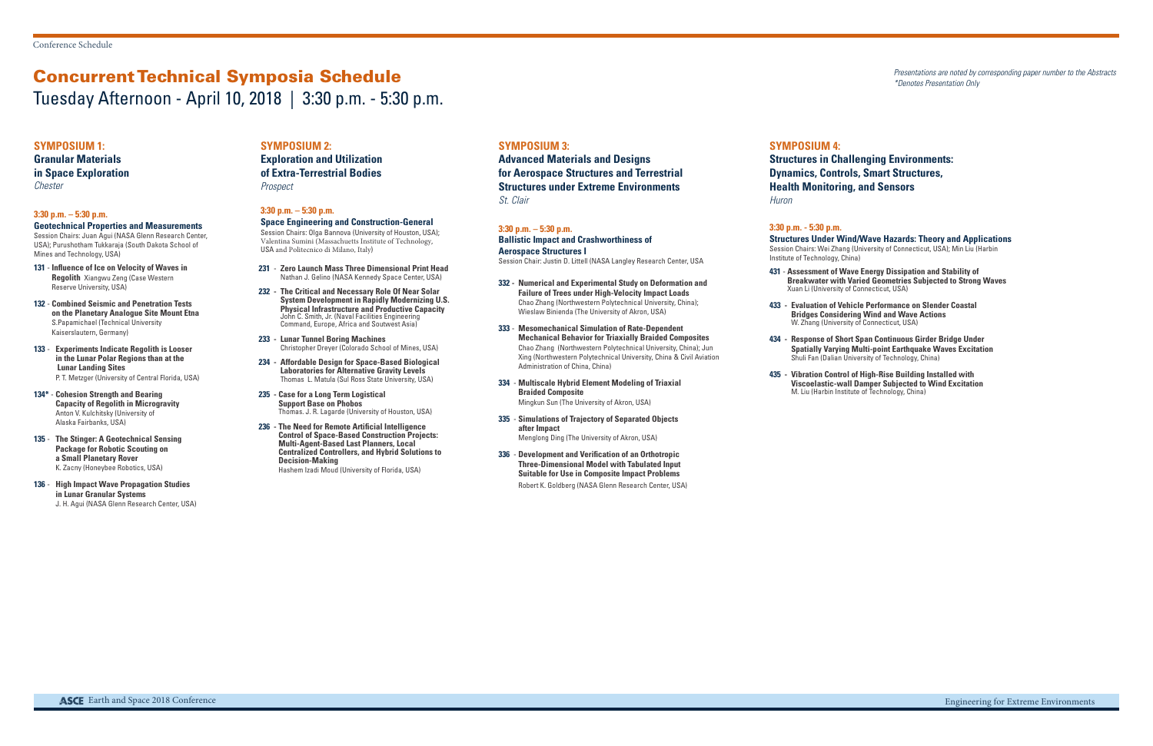# Concurrent Technical Symposia Schedule Tuesday Afternoon - April 10, 2018 | 3:30 p.m. - 5:30 p.m.

Presentations are noted by corresponding paper number to the Abstracts \*Denotes Presentation Only

**Exploration and Utilization of Extra-Terrestrial Bodies Prospect** 

#### **SYMPOSIUM 2:**

#### **3:30 p.m. – 5:30 p.m.**

#### **Space Engineering and Construction-General**

Session Chairs: Olga Bannova (University of Houston, USA); Valentina Sumini (Massachuetts Institute of Technology, USA and Politecnico di Milano, Italy)

**Granular Materials in Space Exploration Chester** 

- **231 Zero Launch Mass Three Dimensional Print Head**  Nathan J. Gelino (NASA Kennedy Space Center, USA)
- **232 The Critical and Necessary Role Of Near Solar System Development in Rapidly Modernizing U.S. Physical Infrastructure and Productive Capacity**  John C. Smith, Jr. (Naval Facilities Engineering Command, Europe, Africa and Soutwest Asia)
- **233 Lunar Tunnel Boring Machines**  Christopher Dreyer (Colorado School of Mines, USA)
- **234 Affordable Design for Space-Based Biological Laboratories for Alternative Gravity Levels**  Thomas L. Matula (Sul Ross State University, USA)
- **235 Case for a Long Term Logistical Support Base on Phobos**  Thomas. J. R. Lagarde (University of Houston, USA)
- **236 The Need for Remote Artificial Intelligence Control of Space-Based Construction Projects: Multi-Agent-Based Last Planners, Local Centralized Controllers, and Hybrid Solutions to Decision-Making**  Hashem Izadi Moud (University of Florida, USA)

#### **SYMPOSIUM 1:**

#### **3:30 p.m. – 5:30 p.m.**

**Geotechnical Properties and Measurements** Session Chairs: Juan Agui (NASA Glenn Research Center, USA); Purushotham Tukkaraja (South Dakota School of Mines and Technology, USA)

- **131 Influence of Ice on Velocity of Waves in Regolith** Xiangwu Zeng (Case Western Reserve University, USA)
- **132 Combined Seismic and Penetration Tests on the Planetary Analogue Site Mount Etna**  S.Papamichael (Technical University Kaiserslautern, Germany)
- **133 Experiments Indicate Regolith is Looser in the Lunar Polar Regions than at the Lunar Landing Sites**  P. T. Metzger (University of Central Florida, USA)
- **134\* Cohesion Strength and Bearing Capacity of Regolith in Microgravity**  Anton V. Kulchitsky (University of Alaska Fairbanks, USA)
- **135 The Stinger: A Geotechnical Sensing Package for Robotic Scouting on a Small Planetary Rover**  K. Zacny (Honeybee Robotics, USA)
- **136 High Impact Wave Propagation Studies in Lunar Granular Systems**  J. H. Agui (NASA Glenn Research Center, USA)

#### **SYMPOSIUM 3:**

**Advanced Materials and Designs for Aerospace Structures and Terrestrial Structures under Extreme Environments** St. Clair

#### **3:30 p.m. – 5:30 p.m.**

**Ballistic Impact and Crashworthiness of Aerospace Structures I**

Session Chair: Justin D. Littell (NASA Langley Research Center, USA

- **332 Numerical and Experimental Study on Deformation and Failure of Trees under High-Velocity Impact Loads**  Chao Zhang (Northwestern Polytechnical University, China); Wieslaw Binienda (The University of Akron, USA)
- **333 Mesomechanical Simulation of Rate-Dependent Mechanical Behavior for Triaxially Braided Composites**  Chao Zhang (Northwestern Polytechnical University, China); Jun Xing (Northwestern Polytechnical University, China & Civil Aviation Administration of China, China)
- **334 Multiscale Hybrid Element Modeling of Triaxial Braided Composite**  Mingkun Sun (The University of Akron, USA)
- **335 Simulations of Trajectory of Separated Objects after Impact**  Menglong Ding (The University of Akron, USA)
- **336 Development and Verification of an Orthotropic Three-Dimensional Model with Tabulated Input Suitable for Use in Composite Impact Problems**  Robert K. Goldberg (NASA Glenn Research Center, USA)

#### **SYMPOSIUM 4:**

## **Structures in Challenging Environments: Dynamics, Controls, Smart Structures,**

**Health Monitoring, and Sensors** Huron

# **3:30 p.m. - 5:30 p.m.**

**Structures Under Wind/Wave Hazards: Theory and Applications** Session Chairs: Wei Zhang (University of Connecticut, USA); Min Liu (Harbin

Institute of Technology, China)

- 
- 
- 
- 

**431** - **Assessment of Wave Energy Dissipation and Stability of Breakwater with Varied Geometries Subjected to Strong Waves**  Xuan Li (University of Connecticut, USA)

**433 - Evaluation of Vehicle Performance on Slender Coastal Bridges Considering Wind and Wave Actions** W. Zhang (University of Connecticut, USA)

**434 - Response of Short Span Continuous Girder Bridge Under Spatially Varying Multi-point Earthquake Waves Excitation**  Shuli Fan (Dalian University of Technology, China)

**435 - Vibration Control of High-Rise Building Installed with Viscoelastic-wall Damper Subjected to Wind Excitation**  M. Liu (Harbin Institute of Technology, China)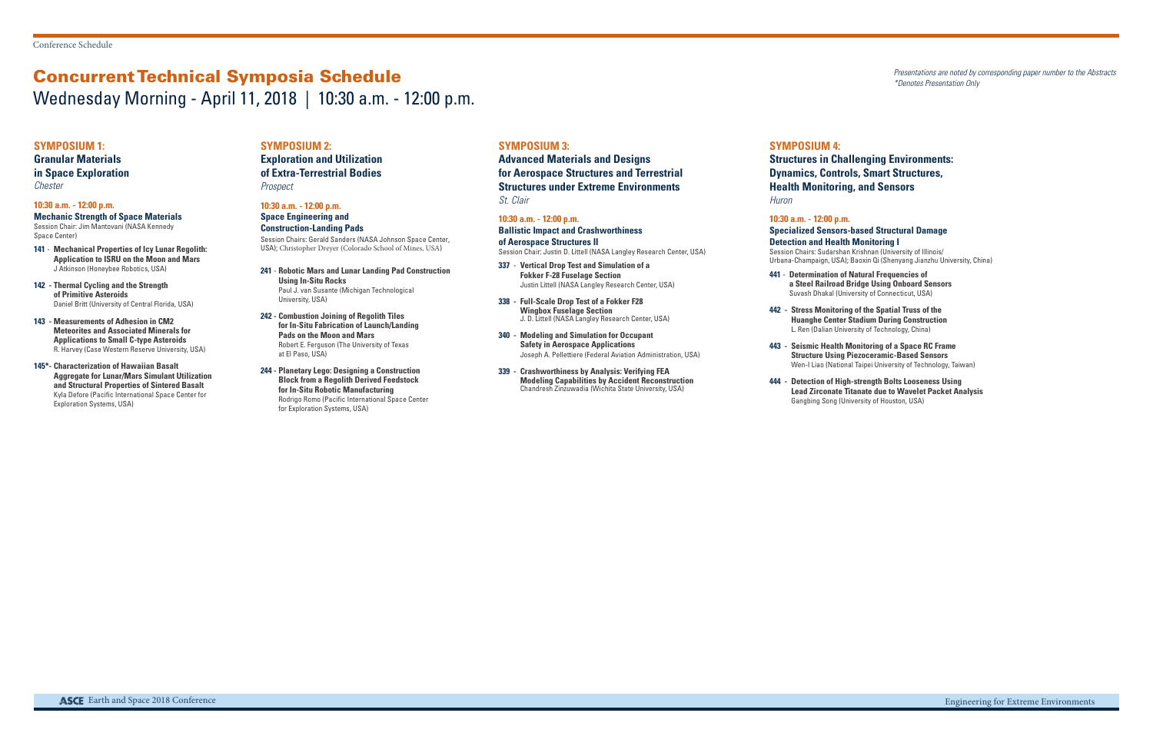# Concurrent Technical Symposia Schedule

Wednesday Morning - April 11, 2018 | 10:30 a.m. - 12:00 p.m.

Presentations are noted by corresponding paper number to the Abstracts \*Denotes Presentation Only

**Exploration and Utilization of Extra-Terrestrial Bodies Prospect** 

#### **SYMPOSIUM 2:**

#### **10:30 a.m. - 12:00 p.m.**

**Space Engineering and Construction-Landing Pads** Session Chairs: Gerald Sanders (NASA Johnson Space Center, USA); Christopher Dreyer (Colorado School of Mines, USA)

- **241 Robotic Mars and Lunar Landing Pad Construction Using In-Situ Rocks**  Paul J. van Susante (Michigan Technological University, USA)
- **242 Combustion Joining of Regolith Tiles for In-Situ Fabrication of Launch/Landing Pads on the Moon and Mars**  Robert E. Ferguson (The University of Texas at El Paso, USA)
- **244 Planetary Lego: Designing a Construction Block from a Regolith Derived Feedstock for In-Situ Robotic Manufacturing**  Rodrigo Romo (Pacific International Space Center for Exploration Systems, USA)

#### **SYMPOSIUM 1:**

**Granular Materials in Space Exploration** Chester

#### **10:30 a.m. - 12:00 p.m.**

**Mechanic Strength of Space Materials** Session Chair: Jim Mantovani (NASA Kennedy Space Center)

- **141 Mechanical Properties of Icy Lunar Regolith: Application to ISRU on the Moon and Mars**  J Atkinson (Honeybee Robotics, USA)
- **142 Thermal Cycling and the Strength of Primitive Asteroids**  Daniel Britt (University of Central Florida, USA)
- **143 Measurements of Adhesion in CM2 Meteorites and Associated Minerals for Applications to Small C-type Asteroids**  R. Harvey (Case Western Reserve University, USA)
- **145\*- Characterization of Hawaiian Basalt Aggregate for Lunar/Mars Simulant Utilization and Structural Properties of Sintered Basalt** Kyla Defore (Pacific International Space Center for Exploration Systems, USA)

#### **SYMPOSIUM 3:**

**Advanced Materials and Designs for Aerospace Structures and Terrestrial Structures under Extreme Environments** St. Clair

#### **10:30 a.m. - 12:00 p.m.**

**Ballistic Impact and Crashworthiness of Aerospace Structures II** Session Chair: Justin D. Littell (NASA Langley Research Center, USA)

- **337 Vertical Drop Test and Simulation of a Fokker F-28 Fuselage Section**  Justin Littell (NASA Langley Research Center, USA)
- **338 Full-Scale Drop Test of a Fokker F28 Wingbox Fuselage Section** J. D. Littell (NASA Langley Research Center, USA)
- **340 Modeling and Simulation for Occupant Safety in Aerospace Applications**  Joseph A. Pellettiere (Federal Aviation Administration, USA)
- **339 Crashworthiness by Analysis: Verifying FEA Modeling Capabilities by Accident Reconstruction**  Chandresh Zinzuwadia (Wichita State University, USA)

#### **SYMPOSIUM 4:**

# **Structures in Challenging Environments: Dynamics, Controls, Smart Structures,**

**Health Monitoring, and Sensors** Huron

### **10:30 a.m. - 12:00 p.m.**

# **Specialized Sensors-based Structural Damage**

**Detection and Health Monitoring I**

Session Chairs: Sudarshan Krishnan (University of Illinois/ Urbana-Champaign, USA); Baoxin Qi (Shenyang Jianzhu University, China)

- **441 Determination of Natural Frequencies of**
- 

**a Steel Railroad Bridge Using Onboard Sensors**  Suvash Dhakal (University of Connecticut, USA)

**442 - Stress Monitoring of the Spatial Truss of the Huanghe Center Stadium During Construction**  L. Ren (Dalian University of Technology, China)

**443 - Seismic Health Monitoring of a Space RC Frame Structure Using Piezoceramic-Based Sensors**  Wen-I Liao (National Taipei University of Technology, Taiwan)

**444 - Detection of High-strength Bolts Looseness Using Lead Zirconate Titanate due to Wavelet Packet Analysis**  Gangbing Song (University of Houston, USA)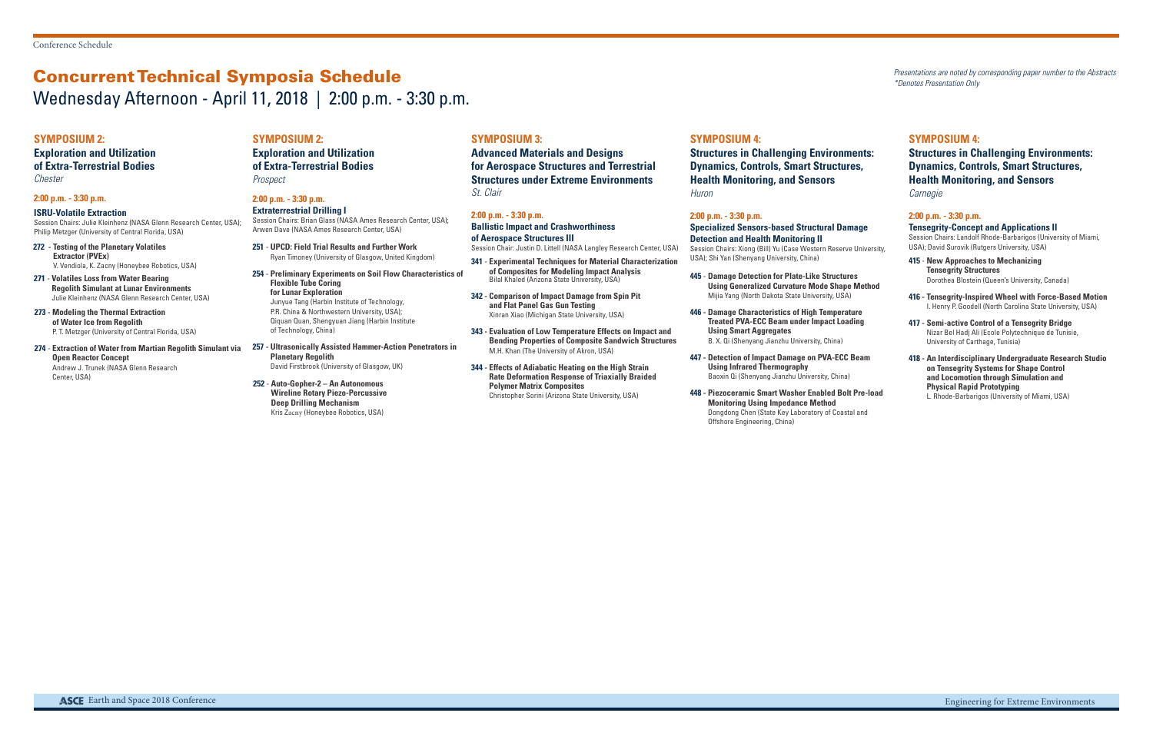# Concurrent Technical Symposia Schedule Wednesday Afternoon - April 11, 2018 | 2:00 p.m. - 3:30 p.m.

Presentations are noted by corresponding paper number to the Abstracts \*Denotes Presentation Only

#### **SYMPOSIUM 2:**

### **Exploration and Utilization**

#### **of Extra-Terrestrial Bodies** Chester

#### **2:00 p.m. - 3:30 p.m.**

**ISRU-Volatile Extraction** Session Chairs: Julie Kleinhenz (NASA Glenn Research Center, USA); Philip Metzger (University of Central Florida, USA)

- **272 Testing of the Planetary Volatiles Extractor (PVEx)** V. Vendiola, K. Zacny (Honeybee Robotics, USA)
- **271 Volatiles Loss from Water Bearing Regolith Simulant at Lunar Environments**  Julie Kleinhenz (NASA Glenn Research Center, USA)
- **273 Modeling the Thermal Extraction of Water Ice from Regolith**  P. T. Metzger (University of Central Florida, USA)
- **274 Extraction of Water from Martian Regolith Simulant via Open Reactor Concept**  Andrew J. Trunek (NASA Glenn Research Center, USA)

### **SYMPOSIUM 2:**

#### **Exploration and Utilization of Extra-Terrestrial Bodies** Prospect

#### **2:00 p.m. - 3:30 p.m. Extraterrestrial Drilling I**

Session Chairs: Brian Glass (NASA Ames Research Center, USA); Arwen Dave (NASA Ames Research Center, USA)

- **251 UPCD: Field Trial Results and Further Work**  Ryan Timoney (University of Glasgow, United Kingdom)
- **254 Preliminary Experiments on Soil Flow Characteristics of Flexible Tube Coring for Lunar Exploration**  Junyue Tang (Harbin Institute of Technology, P.R. China & Northwestern University, USA); Qiquan Quan, Shengyuan Jiang (Harbin Institute of Technology, China)
- **257 Ultrasonically Assisted Hammer-Action Penetrators in Planetary Regolith**  David Firstbrook (University of Glasgow, UK)
- **252 Auto-Gopher-2 An Autonomous Wireline Rotary Piezo-Percussive Deep Drilling Mechanism**  Kris Zacny (Honeybee Robotics, USA)

**Structures in Challenging Environments: Dynamics, Controls, Smart Structures, Health Monitoring, and Sensors Huron** 

#### **SYMPOSIUM 3:**

**Advanced Materials and Designs for Aerospace Structures and Terrestrial Structures under Extreme Environments** St. Clair

### **2:00 p.m. - 3:30 p.m.**

**Ballistic Impact and Crashworthiness of Aerospace Structures III**

Session Chair: Justin D. Littell (NASA Langley Research Center, USA)

- **341 Experimental Techniques for Material Characterization of Composites for Modeling Impact Analysis**  Bilal Khaled (Arizona State University, USA)
- **342 Comparison of Impact Damage from Spin Pit and Flat Panel Gas Gun Testing**  Xinran Xiao (Michigan State University, USA)
- **343 Evaluation of Low Temperature Effects on Impact and Bending Properties of Composite Sandwich Structures**  M.H. Khan (The University of Akron, USA)
- **344 Effects of Adiabatic Heating on the High Strain Rate Deformation Response of Triaxially Braided Polymer Matrix Composites**  Christopher Sorini (Arizona State University, USA)

#### **SYMPOSIUM 4:**

#### **2:00 p.m. - 3:30 p.m.**

**Specialized Sensors-based Structural Damage Detection and Health Monitoring II**  Session Chairs: Xiong (Bill) Yu (Case Western Reserve University,

USA); Shi Yan (Shenyang University, China)

- **445 Damage Detection for Plate-Like Structures Using Generalized Curvature Mode Shape Method**  Mijia Yang (North Dakota State University, USA)
- **446 Damage Characteristics of High Temperature Treated PVA-ECC Beam under Impact Loading Using Smart Aggregates**

B. X. Qi (Shenyang Jianzhu University, China)

- **447 Detection of Impact Damage on PVA-ECC Beam Using Infrared Thermography**  Baoxin Qi (Shenyang Jianzhu University, China)
- **448 Piezoceramic Smart Washer Enabled Bolt Pre-load Monitoring Using Impedance Method**  Dongdong Chen (State Key Laboratory of Coastal and Offshore Engineering, China)

#### **SYMPOSIUM 4:**

### **Structures in Challenging Environments: Dynamics, Controls, Smart Structures, Health Monitoring, and Sensors**

Carnegie

#### **2:00 p.m. - 3:30 p.m. Tensegrity-Concept and Applications II** Session Chairs: Landolf Rhode-Barbarigos (University of Miami,

USA); David Surovik (Rutgers University, USA)

- **415 New Approaches to Mechanizing Tensegrity Structures**  Dorothea Blostein (Queen's University, Canada)
- **416 Tensegrity-Inspired Wheel with Force-Based Motion**  I. Henry P. Goodell (North Carolina State University, USA)
- **417 Semi-active Control of a Tensegrity Bridge**  Nizar Bel Hadj Ali (Ecole Polytechnique de Tunisie, University of Carthage, Tunisia)
- **418 An Interdisciplinary Undergraduate Research Studio on Tensegrity Systems for Shape Control and Locomotion through Simulation and Physical Rapid Prototyping**

L. Rhode-Barbarigos (University of Miami, USA)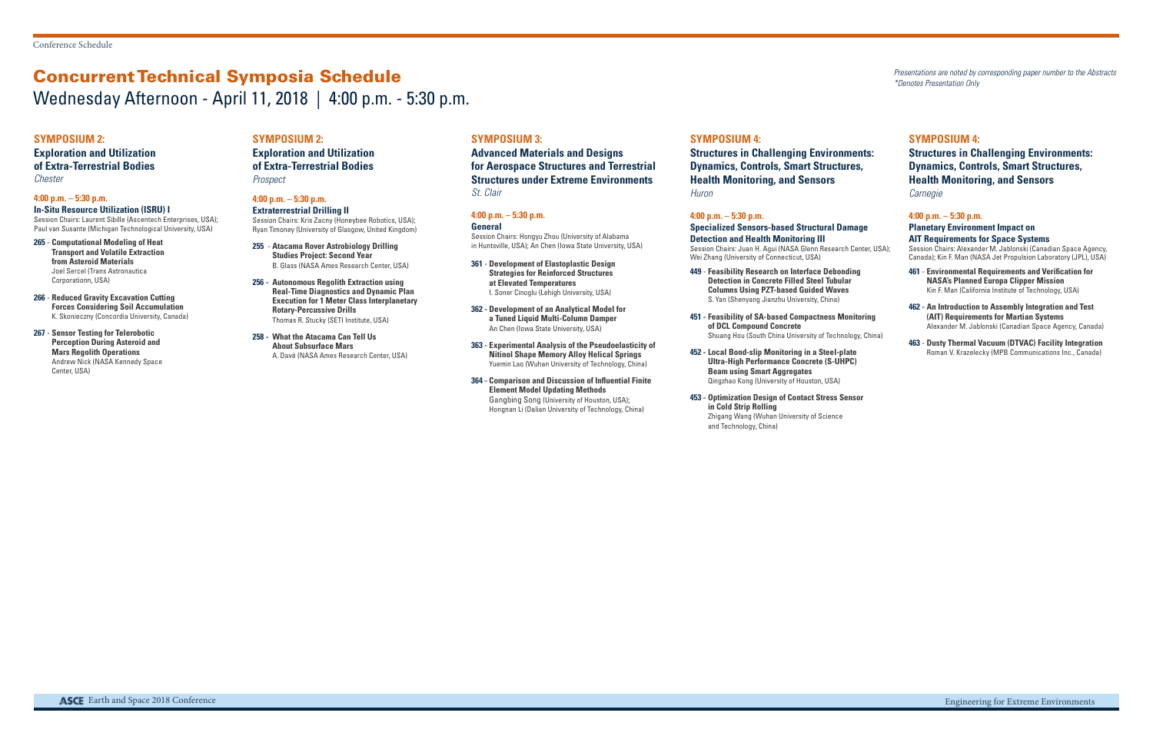# Concurrent Technical Symposia Schedule Wednesday Afternoon - April 11, 2018 | 4:00 p.m. - 5:30 p.m.

Presentations are noted by corresponding paper number to the Abstracts \*Denotes Presentation Only

#### **SYMPOSIUM 2:**

#### **Exploration and Utilization of Extra-Terrestrial Bodies** Chester

#### **4:00 p.m. – 5:30 p.m.**

**In-Situ Resource Utilization (ISRU) I**

Session Chairs: Laurent Sibille (Ascentech Enterprises, USA); Paul van Susante (Michigan Technological University, USA)

#### **Exploration and Utilization of Extra-Terrestrial Bodies Prospect**

- **265 Computational Modeling of Heat Transport and Volatile Extraction from Asteroid Materials**  Joel Sercel (Trans Astronautica Corporationn, USA)
- **266 Reduced Gravity Excavation Cutting Forces Considering Soil Accumulation**  K. Skonieczny (Concordia University, Canada)
- **267 Sensor Testing for Telerobotic Perception During Asteroid and Mars Regolith Operations**  Andrew Nick (NASA Kennedy Space Center, USA)

### **SYMPOSIUM 2:**

#### **4:00 p.m. – 5:30 p.m. Extraterrestrial Drilling II**

Session Chairs: Kris Zacny (Honeybee Robotics, USA); Ryan Timoney (University of Glasgow, United Kingdom) **Structures in Challenging Environments: Dynamics, Controls, Smart Structures, Health Monitoring, and Sensors Huron** 

- **255 Atacama Rover Astrobiology Drilling Studies Project: Second Year**  B. Glass (NASA Ames Research Center, USA)
- **256 Autonomous Regolith Extraction using Real-Time Diagnostics and Dynamic Plan Execution for 1 Meter Class Interplanetary Rotary-Percussive Drills**  Thomas R. Stucky (SETI Institute, USA)
- **258 What the Atacama Can Tell Us About Subsurface Mars** A. Davé (NASA Ames Research Center, USA)

#### **SYMPOSIUM 3:**

**Advanced Materials and Designs for Aerospace Structures and Terrestrial Structures under Extreme Environments** St. Clair

#### **4:00 p.m. – 5:30 p.m.**

#### **General**

Session Chairs: Hongyu Zhou (University of Alabama in Huntsville, USA); An Chen (Iowa State University, USA)

- **361 Development of Elastoplastic Design Strategies for Reinforced Structures at Elevated Temperatures**  I. Soner Cinoglu (Lehigh University, USA)
- **362 Development of an Analytical Model for a Tuned Liquid Multi-Column Damper**  An Chen (Iowa State University, USA)
- **363 Experimental Analysis of the Pseudoelasticity of Nitinol Shape Memory Alloy Helical Springs**  Yuemin Lao (Wuhan University of Technology, China)
- **364 Comparison and Discussion of Influential Finite Element Model Updating Methods**  Gangbing Song (University of Houston, USA); Hongnan Li (Dalian University of Technology, China)

#### **SYMPOSIUM 4:**

#### **4:00 p.m. – 5:30 p.m.**

**Specialized Sensors-based Structural Damage Detection and Health Monitoring III** Session Chairs: Juan H. Agui (NASA Glenn Research Center, USA); Wei Zhang (University of Connecticut, USA)

- **449 Feasibility Research on Interface Debonding Detection in Concrete Filled Steel Tubular Columns Using PZT-based Guided Waves**  S. Yan (Shenyang Jianzhu University, China)
- **451 Feasibility of SA-based Compactness Monitoring of DCL Compound Concrete** Shuang Hou (South China University of Technology, China)
- **452 Local Bond-slip Monitoring in a Steel-plate Ultra-High Performance Concrete (S-UHPC) Beam using Smart Aggregates**  Qingzhao Kong (University of Houston, USA)
- **453 Optimization Design of Contact Stress Sensor in Cold Strip Rolling**  Zhigang Wang (Wuhan University of Science and Technology, China)

#### **SYMPOSIUM 4:**

### **Structures in Challenging Environments: Dynamics, Controls, Smart Structures, Health Monitoring, and Sensors**

Carnegie

#### **4:00 p.m. – 5:30 p.m. Planetary Environment Impact on AIT Requirements for Space Systems** Session Chairs: Alexander M. Jablonski (Canadian Space Agency, Canada); Kin F. Man (NASA Jet Propulsion Laboratory (JPL), USA)

- **461 Environmental Requirements and Verification for NASA's Planned Europa Clipper Mission**  Kin F. Man (California Institute of Technology, USA)
- **462 An Introduction to Assembly Integration and Test (AIT) Requirements for Martian Systems** Alexander M. Jablonski (Canadian Space Agency, Canada)
- **463 Dusty Thermal Vacuum (DTVAC) Facility Integration**  Roman V. Krazelecky (MPB Communications Inc., Canada)